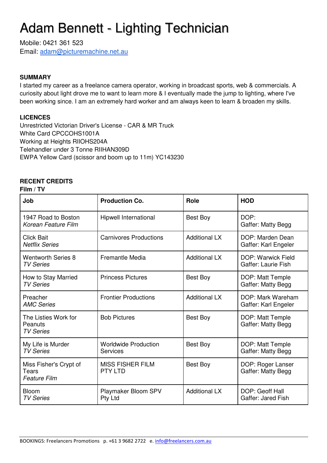# Adam Bennett - Lighting Technician

Mobile: 0421 361 523 Email: adam@picturemachine.net.au

### **SUMMARY**

I started my career as a freelance camera operator, working in broadcast sports, web & commercials. A curiosity about light drove me to want to learn more & I eventually made the jump to lighting, where I've been working since. I am an extremely hard worker and am always keen to learn & broaden my skills.

#### **LICENCES**

Unrestricted Victorian Driver's License - CAR & MR Truck White Card CPCCOHS1001A Working at Heights RIIOHS204A Telehandler under 3 Tonne RIIHAN309D EWPA Yellow Card (scissor and boom up to 11m) YC143230

### **RECENT CREDITS**

#### **Film / TV**

| Job                                                           | <b>Production Co.</b>                     | Role                 | <b>HOD</b>                                       |
|---------------------------------------------------------------|-------------------------------------------|----------------------|--------------------------------------------------|
| 1947 Road to Boston<br>Korean Feature Film                    | Hipwell International                     | Best Boy             | DOP:<br>Gaffer: Matty Begg                       |
| <b>Click Bait</b><br><b>Netflix Series</b>                    | <b>Carnivores Productions</b>             | <b>Additional LX</b> | DOP: Marden Dean<br>Gaffer: Karl Engeler         |
| <b>Wentworth Series 8</b><br><b>TV Series</b>                 | <b>Fremantle Media</b>                    | <b>Additional LX</b> | <b>DOP: Warwick Field</b><br>Gaffer: Laurie Fish |
| How to Stay Married<br><b>TV Series</b>                       | <b>Princess Pictures</b>                  | Best Boy             | DOP: Matt Temple<br>Gaffer: Matty Begg           |
| Preacher<br><b>AMC Series</b>                                 | <b>Frontier Productions</b>               | <b>Additional LX</b> | DOP: Mark Wareham<br>Gaffer: Karl Engeler        |
| The Listies Work for<br>Peanuts<br><b>TV Series</b>           | <b>Bob Pictures</b>                       | Best Boy             | DOP: Matt Temple<br>Gaffer: Matty Begg           |
| My Life is Murder<br><b>TV Series</b>                         | <b>Worldwide Production</b><br>Services   | Best Boy             | DOP: Matt Temple<br>Gaffer: Matty Begg           |
| Miss Fisher's Crypt of<br><b>Tears</b><br><b>Feature Film</b> | <b>MISS FISHER FILM</b><br><b>PTY LTD</b> | Best Boy             | DOP: Roger Lanser<br>Gaffer: Matty Begg          |
| <b>Bloom</b><br><b>TV Series</b>                              | Playmaker Bloom SPV<br>Pty Ltd            | <b>Additional LX</b> | DOP: Geoff Hall<br>Gaffer: Jared Fish            |